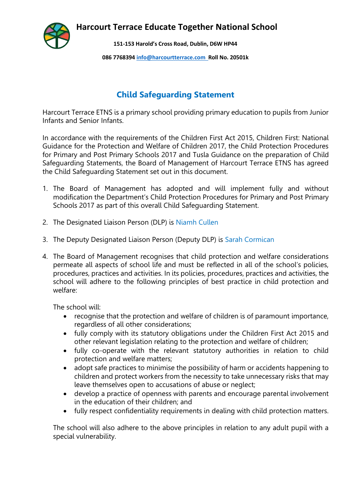**Harcourt Terrace Educate Together National School**



**151-153 Harold's Cross Road, Dublin, D6W HP44**

**086 7768394 [info@harcourtterrace.com](mailto:info@harcourtterrace.com) Roll No. 20501k**

## **Child Safeguarding Statement**

Harcourt Terrace ETNS is a primary school providing primary education to pupils from Junior Infants and Senior Infants.

In accordance with the requirements of the Children First Act 2015, Children First: National Guidance for the Protection and Welfare of Children 2017, the Child Protection Procedures for Primary and Post Primary Schools 2017 and Tusla Guidance on the preparation of Child Safeguarding Statements, the Board of Management of Harcourt Terrace ETNS has agreed the Child Safeguarding Statement set out in this document.

- 1. The Board of Management has adopted and will implement fully and without modification the Department's Child Protection Procedures for Primary and Post Primary Schools 2017 as part of this overall Child Safeguarding Statement.
- 2. The Designated Liaison Person (DLP) is Niamh Cullen
- 3. The Deputy Designated Liaison Person (Deputy DLP) is Sarah Cormican
- 4. The Board of Management recognises that child protection and welfare considerations permeate all aspects of school life and must be reflected in all of the school's policies, procedures, practices and activities. In its policies, procedures, practices and activities, the school will adhere to the following principles of best practice in child protection and welfare:

The school will:

- recognise that the protection and welfare of children is of paramount importance, regardless of all other considerations;
- fully comply with its statutory obligations under the Children First Act 2015 and other relevant legislation relating to the protection and welfare of children;
- fully co-operate with the relevant statutory authorities in relation to child protection and welfare matters;
- adopt safe practices to minimise the possibility of harm or accidents happening to children and protect workers from the necessity to take unnecessary risks that may leave themselves open to accusations of abuse or neglect;
- develop a practice of openness with parents and encourage parental involvement in the education of their children; and
- fully respect confidentiality requirements in dealing with child protection matters.

The school will also adhere to the above principles in relation to any adult pupil with a special vulnerability.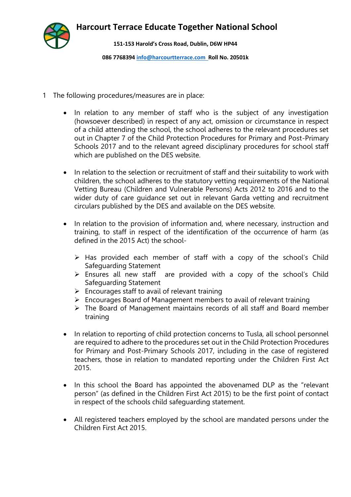**Harcourt Terrace Educate Together National School**



**151-153 Harold's Cross Road, Dublin, D6W HP44**

**086 7768394 [info@harcourtterrace.com](mailto:info@harcourtterrace.com) Roll No. 20501k**

- 1 The following procedures/measures are in place:
	- In relation to any member of staff who is the subject of any investigation (howsoever described) in respect of any act, omission or circumstance in respect of a child attending the school, the school adheres to the relevant procedures set out in Chapter 7 of the Child Protection Procedures for Primary and Post-Primary Schools 2017 and to the relevant agreed disciplinary procedures for school staff which are published on the DES website.
	- In relation to the selection or recruitment of staff and their suitability to work with children, the school adheres to the statutory vetting requirements of the National Vetting Bureau (Children and Vulnerable Persons) Acts 2012 to 2016 and to the wider duty of care guidance set out in relevant Garda vetting and recruitment circulars published by the DES and available on the DES website.
	- In relation to the provision of information and, where necessary, instruction and training, to staff in respect of the identification of the occurrence of harm (as defined in the 2015 Act) the school-
		- $\triangleright$  Has provided each member of staff with a copy of the school's Child Safeguarding Statement
		- $\triangleright$  Ensures all new staff are provided with a copy of the school's Child Safeguarding Statement
		- $\triangleright$  Encourages staff to avail of relevant training
		- Encourages Board of Management members to avail of relevant training
		- $\triangleright$  The Board of Management maintains records of all staff and Board member training
	- In relation to reporting of child protection concerns to Tusla, all school personnel are required to adhere to the procedures set out in the Child Protection Procedures for Primary and Post-Primary Schools 2017, including in the case of registered teachers, those in relation to mandated reporting under the Children First Act 2015.
	- In this school the Board has appointed the abovenamed DLP as the "relevant person" (as defined in the Children First Act 2015) to be the first point of contact in respect of the schools child safeguarding statement.
	- All registered teachers employed by the school are mandated persons under the Children First Act 2015.